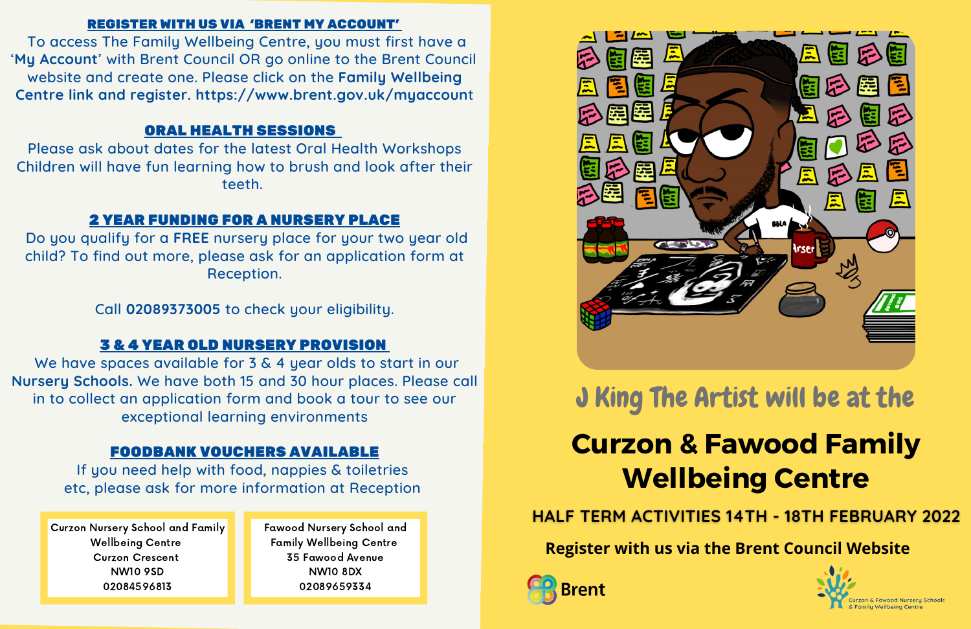### REGISTER WITH US VIA 'BRENT MY ACCOUNT'

To access The Family Wellbeing Centre, you must first have a '**My Account**' with Brent Council OR go online to the Brent Council website and create one. Please click on the **Family Wellbeing Centre link and register. https://www.brent.gov.uk/myaccoun**t

## ORAL HEALTH SESSIONS

Please ask about dates for the latest Oral Health Workshops Children will have fun learning how to brush and look after their teeth.

We have spaces available for 3 & 4 year olds to start in our **Nursery Schools.** We have both 15 and 30 hour places. Please call in to collect an application form and book a tour to see our exceptional learning environments

### 2 YEAR FUNDING FOR A NURSERY PLACE

Do you qualify for a **FREE** nursery place for your two year old child? To find out more, please ask for an application form at Reception.

Call **02089373005** to check your eligibility.

# 3 & 4 YEAR OLD NURSERY PROVISION

## FOODBANK VOUCHERS AVAILABLE

If you need help with food, nappies & toiletries etc, please ask for more information at Reception

Curzon Nursery School and Family Wellbeing Centre Curzon Crescent NW10 9SD 02084596813

Fawood Nursery School and Family Wellbeing Centre 35 Fawood Avenue NW10 8DX 02089659334



# **Curzon & Fawood Family Wellbeing Centre**

**HALF TERM ACTIVITIES 14TH - 18TH FEBRUARY 2022** 

**Register with us via the Brent Council Website**





# J King The Artist will be at the